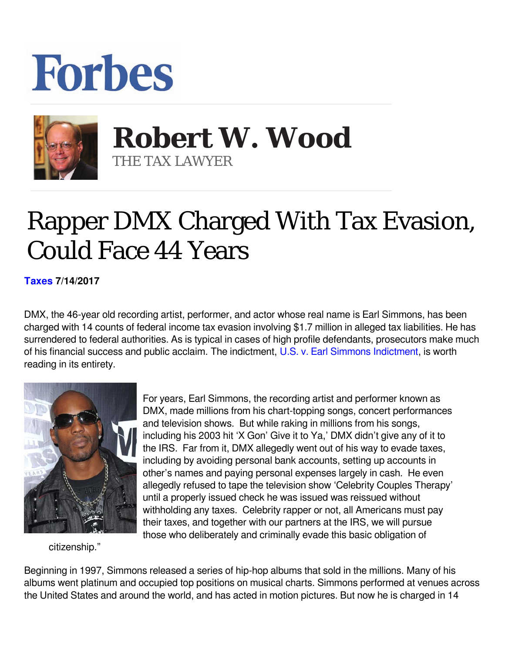## **Forbes**



 **Robert W. Wood** THE TAX LAWYER

## Rapper DMX Charged With Tax Evasion, Could Face 44 Years

**[Taxes](https://www.forbes.com/taxes) 7/14/2017** 

DMX, the 46-year old recording artist, performer, and actor whose real name is Earl Simmons, has been charged with 14 counts of federal income tax evasion involving \$1.7 million in alleged tax liabilities. He has surrendered to federal authorities. As is typical in cases of high profile defendants, prosecutors make much of his financial success and public acclaim. The indictment, [U.S. v. Earl Simmons Indictment](https://www.justice.gov/usao-sdny/press-release/file/981321/download), is worth reading in its entirety.



For years, Earl Simmons, the recording artist and performer known as DMX, made millions from his chart-topping songs, concert performances and television shows. But while raking in millions from his songs, including his 2003 hit 'X Gon' Give it to Ya,' DMX didn't give any of it to the IRS. Far from it, DMX allegedly went out of his way to evade taxes, including by avoiding personal bank accounts, setting up accounts in other's names and paying personal expenses largely in cash. He even allegedly refused to tape the television show 'Celebrity Couples Therapy' until a properly issued check he was issued was reissued without withholding any taxes. Celebrity rapper or not, all Americans must pay their taxes, and together with our partners at the IRS, we will pursue those who deliberately and criminally evade this basic obligation of

citizenship."

Beginning in 1997, Simmons released a series of hip-hop albums that sold in the millions. Many of his albums went platinum and occupied top positions on musical charts. Simmons performed at venues across the United States and around the world, and has acted in motion pictures. But now he is charged in 14